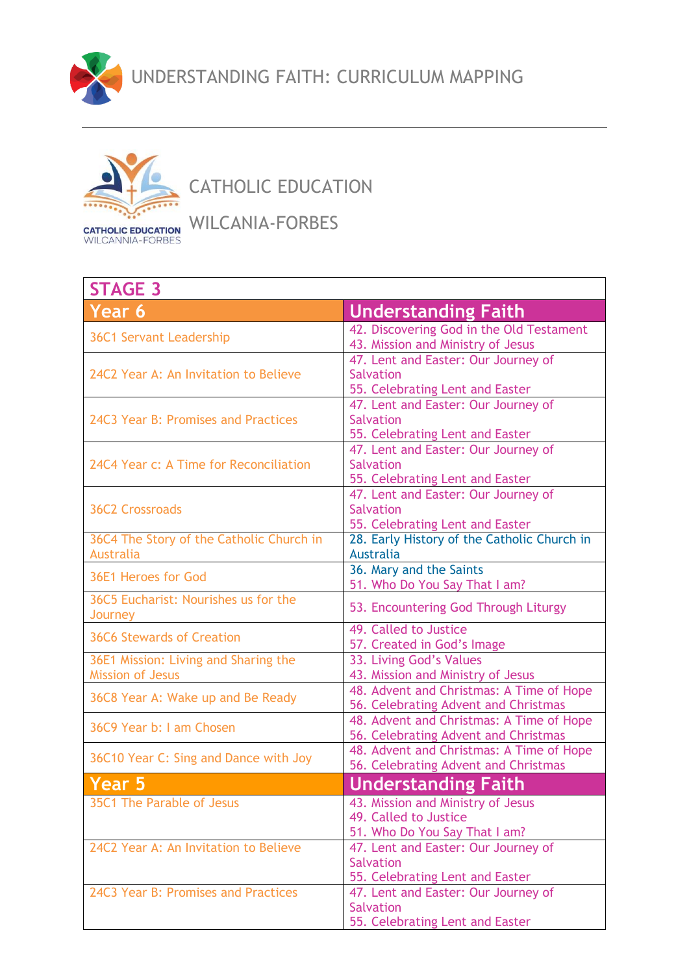



CATHOLIC EDUCATION

WILCANIA-FORBES

| <b>STAGE 3</b>                           |                                                                        |
|------------------------------------------|------------------------------------------------------------------------|
| Year 6                                   | <b>Understanding Faith</b>                                             |
| <b>36C1 Servant Leadership</b>           | 42. Discovering God in the Old Testament                               |
|                                          | 43. Mission and Ministry of Jesus                                      |
|                                          | 47. Lent and Easter: Our Journey of                                    |
| 24C2 Year A: An Invitation to Believe    | <b>Salvation</b>                                                       |
|                                          | 55. Celebrating Lent and Easter<br>47. Lent and Easter: Our Journey of |
| 24C3 Year B: Promises and Practices      | Salvation                                                              |
|                                          | 55. Celebrating Lent and Easter                                        |
|                                          | 47. Lent and Easter: Our Journey of                                    |
| 24C4 Year c: A Time for Reconciliation   | <b>Salvation</b>                                                       |
|                                          | 55. Celebrating Lent and Easter                                        |
|                                          | 47. Lent and Easter: Our Journey of                                    |
| <b>36C2 Crossroads</b>                   | <b>Salvation</b>                                                       |
|                                          | 55. Celebrating Lent and Easter                                        |
| 36C4 The Story of the Catholic Church in | 28. Early History of the Catholic Church in                            |
| <b>Australia</b>                         | <b>Australia</b>                                                       |
| 36E1 Heroes for God                      | 36. Mary and the Saints                                                |
|                                          | 51. Who Do You Say That I am?                                          |
| 36C5 Eucharist: Nourishes us for the     | 53. Encountering God Through Liturgy                                   |
| Journey                                  | 49. Called to Justice                                                  |
| <b>36C6 Stewards of Creation</b>         | 57. Created in God's Image                                             |
| 36E1 Mission: Living and Sharing the     | 33. Living God's Values                                                |
| <b>Mission of Jesus</b>                  | 43. Mission and Ministry of Jesus                                      |
|                                          | 48. Advent and Christmas: A Time of Hope                               |
| 36C8 Year A: Wake up and Be Ready        | 56. Celebrating Advent and Christmas                                   |
| 36C9 Year b: I am Chosen                 | 48. Advent and Christmas: A Time of Hope                               |
|                                          | 56. Celebrating Advent and Christmas                                   |
| 36C10 Year C: Sing and Dance with Joy    | 48. Advent and Christmas: A Time of Hope                               |
|                                          | 56. Celebrating Advent and Christmas                                   |
| <b>Year 5</b>                            | <b>Understanding Faith</b>                                             |
| 35C1 The Parable of Jesus                | 43. Mission and Ministry of Jesus                                      |
|                                          | 49. Called to Justice                                                  |
|                                          | 51. Who Do You Say That I am?                                          |
| 24C2 Year A: An Invitation to Believe    | 47. Lent and Easter: Our Journey of                                    |
|                                          | <b>Salvation</b>                                                       |
|                                          | 55. Celebrating Lent and Easter                                        |
| 24C3 Year B: Promises and Practices      | 47. Lent and Easter: Our Journey of<br><b>Salvation</b>                |
|                                          | 55. Celebrating Lent and Easter                                        |
|                                          |                                                                        |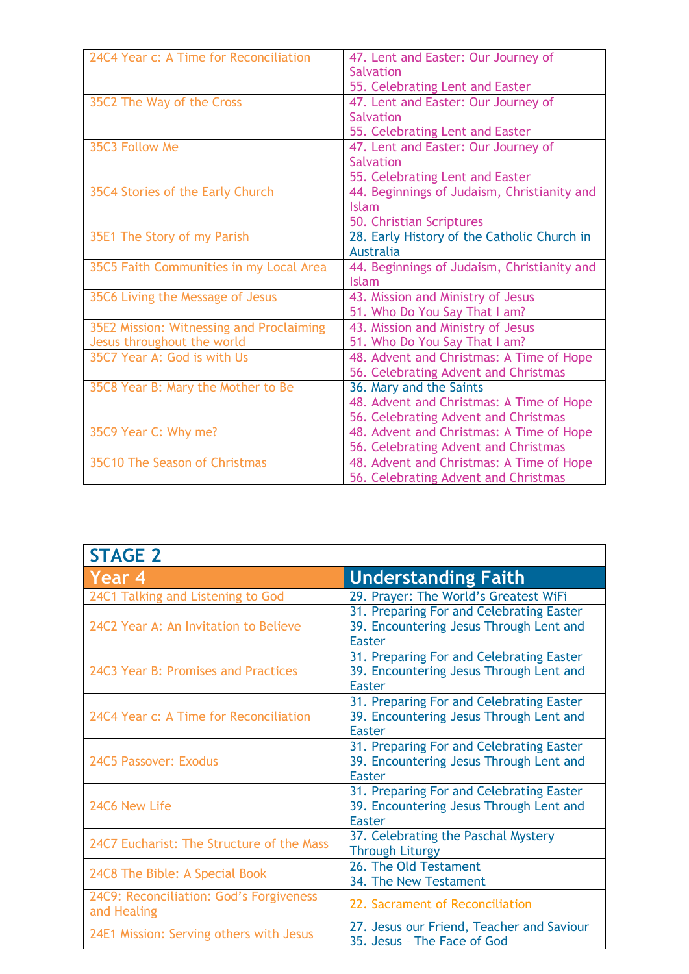| 24C4 Year c: A Time for Reconciliation   | 47. Lent and Easter: Our Journey of         |
|------------------------------------------|---------------------------------------------|
|                                          | <b>Salvation</b>                            |
|                                          | 55. Celebrating Lent and Easter             |
| 35C2 The Way of the Cross                | 47. Lent and Easter: Our Journey of         |
|                                          | <b>Salvation</b>                            |
|                                          | 55. Celebrating Lent and Easter             |
| 35C3 Follow Me                           | 47. Lent and Easter: Our Journey of         |
|                                          | <b>Salvation</b>                            |
|                                          | 55. Celebrating Lent and Easter             |
| 35C4 Stories of the Early Church         | 44. Beginnings of Judaism, Christianity and |
|                                          | <b>Islam</b>                                |
|                                          | 50. Christian Scriptures                    |
| 35E1 The Story of my Parish              | 28. Early History of the Catholic Church in |
|                                          | <b>Australia</b>                            |
| 35C5 Faith Communities in my Local Area  | 44. Beginnings of Judaism, Christianity and |
|                                          | <b>Islam</b>                                |
| 35C6 Living the Message of Jesus         | 43. Mission and Ministry of Jesus           |
|                                          | 51. Who Do You Say That I am?               |
| 35E2 Mission: Witnessing and Proclaiming | 43. Mission and Ministry of Jesus           |
| Jesus throughout the world               | 51. Who Do You Say That I am?               |
| 35C7 Year A: God is with Us              | 48. Advent and Christmas: A Time of Hope    |
|                                          | 56. Celebrating Advent and Christmas        |
| 35C8 Year B: Mary the Mother to Be       | 36. Mary and the Saints                     |
|                                          | 48. Advent and Christmas: A Time of Hope    |
|                                          | 56. Celebrating Advent and Christmas        |
| 35C9 Year C: Why me?                     | 48. Advent and Christmas: A Time of Hope    |
|                                          | 56. Celebrating Advent and Christmas        |
| 35C10 The Season of Christmas            | 48. Advent and Christmas: A Time of Hope    |
|                                          | 56. Celebrating Advent and Christmas        |

| <b>STAGE 2</b>                                         |                                                                                                      |
|--------------------------------------------------------|------------------------------------------------------------------------------------------------------|
| Year 4                                                 | <b>Understanding Faith</b>                                                                           |
| 24C1 Talking and Listening to God                      | 29. Prayer: The World's Greatest WiFi                                                                |
| 24C2 Year A: An Invitation to Believe                  | 31. Preparing For and Celebrating Easter<br>39. Encountering Jesus Through Lent and<br><b>Easter</b> |
| 24C3 Year B: Promises and Practices                    | 31. Preparing For and Celebrating Easter<br>39. Encountering Jesus Through Lent and<br>Easter        |
| 24C4 Year c: A Time for Reconciliation                 | 31. Preparing For and Celebrating Easter<br>39. Encountering Jesus Through Lent and<br>Easter        |
| 24C5 Passover: Exodus                                  | 31. Preparing For and Celebrating Easter<br>39. Encountering Jesus Through Lent and<br>Easter        |
| 24C6 New Life                                          | 31. Preparing For and Celebrating Easter<br>39. Encountering Jesus Through Lent and<br><b>Easter</b> |
| 24C7 Eucharist: The Structure of the Mass              | 37. Celebrating the Paschal Mystery<br><b>Through Liturgy</b>                                        |
| 24C8 The Bible: A Special Book                         | 26. The Old Testament<br>34. The New Testament                                                       |
| 24C9: Reconciliation: God's Forgiveness<br>and Healing | 22. Sacrament of Reconciliation                                                                      |
| 24E1 Mission: Serving others with Jesus                | 27. Jesus our Friend, Teacher and Saviour<br>35. Jesus - The Face of God                             |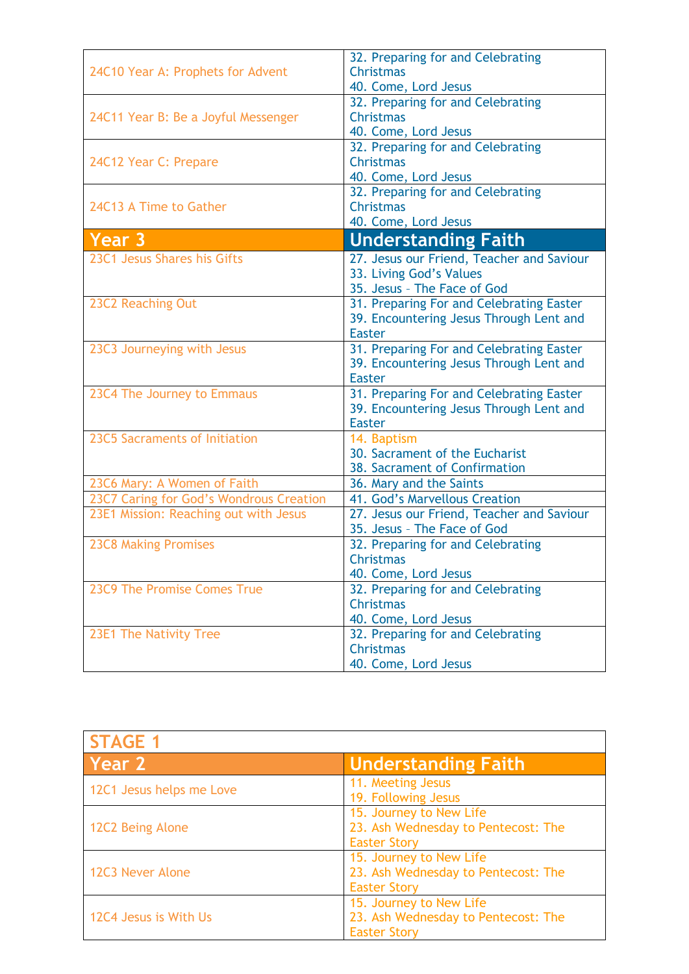| <b>Christmas</b><br>24C10 Year A: Prophets for Advent<br>40. Come, Lord Jesus<br>32. Preparing for and Celebrating<br><b>Christmas</b><br>24C11 Year B: Be a Joyful Messenger<br>40. Come, Lord Jesus<br>32. Preparing for and Celebrating<br>Christmas<br>24C12 Year C: Prepare<br>40. Come, Lord Jesus<br>32. Preparing for and Celebrating<br><b>Christmas</b><br>24C13 A Time to Gather<br>40. Come, Lord Jesus<br><b>Understanding Faith</b><br>Year 3<br>23C1 Jesus Shares his Gifts<br>27. Jesus our Friend, Teacher and Saviour<br>33. Living God's Values<br>35. Jesus - The Face of God<br>31. Preparing For and Celebrating Easter<br>23C2 Reaching Out<br>39. Encountering Jesus Through Lent and<br><b>Easter</b><br>31. Preparing For and Celebrating Easter<br>23C3 Journeying with Jesus<br>39. Encountering Jesus Through Lent and<br><b>Easter</b><br>31. Preparing For and Celebrating Easter<br>23C4 The Journey to Emmaus<br>39. Encountering Jesus Through Lent and<br><b>Easter</b><br>23C5 Sacraments of Initiation<br>14. Baptism<br>30. Sacrament of the Eucharist<br>38. Sacrament of Confirmation<br>23C6 Mary: A Women of Faith<br>36. Mary and the Saints<br>23C7 Caring for God's Wondrous Creation<br>41. God's Marvellous Creation<br>27. Jesus our Friend, Teacher and Saviour<br>23E1 Mission: Reaching out with Jesus | 32. Preparing for and Celebrating |
|-----------------------------------------------------------------------------------------------------------------------------------------------------------------------------------------------------------------------------------------------------------------------------------------------------------------------------------------------------------------------------------------------------------------------------------------------------------------------------------------------------------------------------------------------------------------------------------------------------------------------------------------------------------------------------------------------------------------------------------------------------------------------------------------------------------------------------------------------------------------------------------------------------------------------------------------------------------------------------------------------------------------------------------------------------------------------------------------------------------------------------------------------------------------------------------------------------------------------------------------------------------------------------------------------------------------------------------------------------------|-----------------------------------|
|                                                                                                                                                                                                                                                                                                                                                                                                                                                                                                                                                                                                                                                                                                                                                                                                                                                                                                                                                                                                                                                                                                                                                                                                                                                                                                                                                           |                                   |
|                                                                                                                                                                                                                                                                                                                                                                                                                                                                                                                                                                                                                                                                                                                                                                                                                                                                                                                                                                                                                                                                                                                                                                                                                                                                                                                                                           |                                   |
|                                                                                                                                                                                                                                                                                                                                                                                                                                                                                                                                                                                                                                                                                                                                                                                                                                                                                                                                                                                                                                                                                                                                                                                                                                                                                                                                                           |                                   |
|                                                                                                                                                                                                                                                                                                                                                                                                                                                                                                                                                                                                                                                                                                                                                                                                                                                                                                                                                                                                                                                                                                                                                                                                                                                                                                                                                           |                                   |
|                                                                                                                                                                                                                                                                                                                                                                                                                                                                                                                                                                                                                                                                                                                                                                                                                                                                                                                                                                                                                                                                                                                                                                                                                                                                                                                                                           |                                   |
|                                                                                                                                                                                                                                                                                                                                                                                                                                                                                                                                                                                                                                                                                                                                                                                                                                                                                                                                                                                                                                                                                                                                                                                                                                                                                                                                                           |                                   |
|                                                                                                                                                                                                                                                                                                                                                                                                                                                                                                                                                                                                                                                                                                                                                                                                                                                                                                                                                                                                                                                                                                                                                                                                                                                                                                                                                           |                                   |
|                                                                                                                                                                                                                                                                                                                                                                                                                                                                                                                                                                                                                                                                                                                                                                                                                                                                                                                                                                                                                                                                                                                                                                                                                                                                                                                                                           |                                   |
|                                                                                                                                                                                                                                                                                                                                                                                                                                                                                                                                                                                                                                                                                                                                                                                                                                                                                                                                                                                                                                                                                                                                                                                                                                                                                                                                                           |                                   |
|                                                                                                                                                                                                                                                                                                                                                                                                                                                                                                                                                                                                                                                                                                                                                                                                                                                                                                                                                                                                                                                                                                                                                                                                                                                                                                                                                           |                                   |
|                                                                                                                                                                                                                                                                                                                                                                                                                                                                                                                                                                                                                                                                                                                                                                                                                                                                                                                                                                                                                                                                                                                                                                                                                                                                                                                                                           |                                   |
|                                                                                                                                                                                                                                                                                                                                                                                                                                                                                                                                                                                                                                                                                                                                                                                                                                                                                                                                                                                                                                                                                                                                                                                                                                                                                                                                                           |                                   |
|                                                                                                                                                                                                                                                                                                                                                                                                                                                                                                                                                                                                                                                                                                                                                                                                                                                                                                                                                                                                                                                                                                                                                                                                                                                                                                                                                           |                                   |
|                                                                                                                                                                                                                                                                                                                                                                                                                                                                                                                                                                                                                                                                                                                                                                                                                                                                                                                                                                                                                                                                                                                                                                                                                                                                                                                                                           |                                   |
|                                                                                                                                                                                                                                                                                                                                                                                                                                                                                                                                                                                                                                                                                                                                                                                                                                                                                                                                                                                                                                                                                                                                                                                                                                                                                                                                                           |                                   |
|                                                                                                                                                                                                                                                                                                                                                                                                                                                                                                                                                                                                                                                                                                                                                                                                                                                                                                                                                                                                                                                                                                                                                                                                                                                                                                                                                           |                                   |
|                                                                                                                                                                                                                                                                                                                                                                                                                                                                                                                                                                                                                                                                                                                                                                                                                                                                                                                                                                                                                                                                                                                                                                                                                                                                                                                                                           |                                   |
|                                                                                                                                                                                                                                                                                                                                                                                                                                                                                                                                                                                                                                                                                                                                                                                                                                                                                                                                                                                                                                                                                                                                                                                                                                                                                                                                                           |                                   |
|                                                                                                                                                                                                                                                                                                                                                                                                                                                                                                                                                                                                                                                                                                                                                                                                                                                                                                                                                                                                                                                                                                                                                                                                                                                                                                                                                           |                                   |
|                                                                                                                                                                                                                                                                                                                                                                                                                                                                                                                                                                                                                                                                                                                                                                                                                                                                                                                                                                                                                                                                                                                                                                                                                                                                                                                                                           |                                   |
|                                                                                                                                                                                                                                                                                                                                                                                                                                                                                                                                                                                                                                                                                                                                                                                                                                                                                                                                                                                                                                                                                                                                                                                                                                                                                                                                                           |                                   |
|                                                                                                                                                                                                                                                                                                                                                                                                                                                                                                                                                                                                                                                                                                                                                                                                                                                                                                                                                                                                                                                                                                                                                                                                                                                                                                                                                           |                                   |
|                                                                                                                                                                                                                                                                                                                                                                                                                                                                                                                                                                                                                                                                                                                                                                                                                                                                                                                                                                                                                                                                                                                                                                                                                                                                                                                                                           |                                   |
|                                                                                                                                                                                                                                                                                                                                                                                                                                                                                                                                                                                                                                                                                                                                                                                                                                                                                                                                                                                                                                                                                                                                                                                                                                                                                                                                                           |                                   |
|                                                                                                                                                                                                                                                                                                                                                                                                                                                                                                                                                                                                                                                                                                                                                                                                                                                                                                                                                                                                                                                                                                                                                                                                                                                                                                                                                           |                                   |
|                                                                                                                                                                                                                                                                                                                                                                                                                                                                                                                                                                                                                                                                                                                                                                                                                                                                                                                                                                                                                                                                                                                                                                                                                                                                                                                                                           |                                   |
|                                                                                                                                                                                                                                                                                                                                                                                                                                                                                                                                                                                                                                                                                                                                                                                                                                                                                                                                                                                                                                                                                                                                                                                                                                                                                                                                                           |                                   |
|                                                                                                                                                                                                                                                                                                                                                                                                                                                                                                                                                                                                                                                                                                                                                                                                                                                                                                                                                                                                                                                                                                                                                                                                                                                                                                                                                           |                                   |
|                                                                                                                                                                                                                                                                                                                                                                                                                                                                                                                                                                                                                                                                                                                                                                                                                                                                                                                                                                                                                                                                                                                                                                                                                                                                                                                                                           |                                   |
| 35. Jesus - The Face of God                                                                                                                                                                                                                                                                                                                                                                                                                                                                                                                                                                                                                                                                                                                                                                                                                                                                                                                                                                                                                                                                                                                                                                                                                                                                                                                               |                                   |
| <b>23C8 Making Promises</b><br>32. Preparing for and Celebrating                                                                                                                                                                                                                                                                                                                                                                                                                                                                                                                                                                                                                                                                                                                                                                                                                                                                                                                                                                                                                                                                                                                                                                                                                                                                                          |                                   |
| <b>Christmas</b>                                                                                                                                                                                                                                                                                                                                                                                                                                                                                                                                                                                                                                                                                                                                                                                                                                                                                                                                                                                                                                                                                                                                                                                                                                                                                                                                          |                                   |
| 40. Come, Lord Jesus                                                                                                                                                                                                                                                                                                                                                                                                                                                                                                                                                                                                                                                                                                                                                                                                                                                                                                                                                                                                                                                                                                                                                                                                                                                                                                                                      |                                   |
| 23C9 The Promise Comes True<br>32. Preparing for and Celebrating                                                                                                                                                                                                                                                                                                                                                                                                                                                                                                                                                                                                                                                                                                                                                                                                                                                                                                                                                                                                                                                                                                                                                                                                                                                                                          |                                   |
| <b>Christmas</b>                                                                                                                                                                                                                                                                                                                                                                                                                                                                                                                                                                                                                                                                                                                                                                                                                                                                                                                                                                                                                                                                                                                                                                                                                                                                                                                                          |                                   |
| 40. Come, Lord Jesus                                                                                                                                                                                                                                                                                                                                                                                                                                                                                                                                                                                                                                                                                                                                                                                                                                                                                                                                                                                                                                                                                                                                                                                                                                                                                                                                      |                                   |
| 32. Preparing for and Celebrating<br>23E1 The Nativity Tree                                                                                                                                                                                                                                                                                                                                                                                                                                                                                                                                                                                                                                                                                                                                                                                                                                                                                                                                                                                                                                                                                                                                                                                                                                                                                               |                                   |
| <b>Christmas</b>                                                                                                                                                                                                                                                                                                                                                                                                                                                                                                                                                                                                                                                                                                                                                                                                                                                                                                                                                                                                                                                                                                                                                                                                                                                                                                                                          |                                   |
| 40. Come, Lord Jesus                                                                                                                                                                                                                                                                                                                                                                                                                                                                                                                                                                                                                                                                                                                                                                                                                                                                                                                                                                                                                                                                                                                                                                                                                                                                                                                                      |                                   |

| <b>STAGE 1</b>           |                                                                                       |
|--------------------------|---------------------------------------------------------------------------------------|
| Year 2                   | <b>Understanding Faith</b>                                                            |
| 12C1 Jesus helps me Love | 11. Meeting Jesus<br>19. Following Jesus                                              |
| 12C2 Being Alone         | 15. Journey to New Life<br>23. Ash Wednesday to Pentecost: The<br><b>Easter Story</b> |
| 12C3 Never Alone         | 15. Journey to New Life<br>23. Ash Wednesday to Pentecost: The<br><b>Easter Story</b> |
| 12C4 Jesus is With Us    | 15. Journey to New Life<br>23. Ash Wednesday to Pentecost: The<br><b>Easter Story</b> |